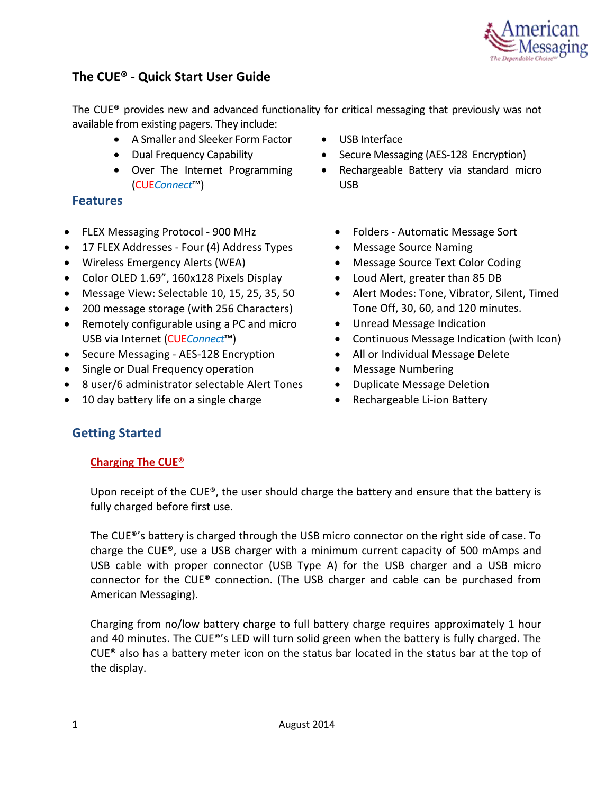

# **The CUE® - Quick Start User Guide**

The CUE® provides new and advanced functionality for critical messaging that previously was not available from existing pagers. They include:

- A Smaller and Sleeker Form Factor
- Dual Frequency Capability
- Over The Internet Programming (CUE*Connect*™)

## **Features**

- FLEX Messaging Protocol 900 MHz
- 17 FLEX Addresses Four (4) Address Types
- Wireless Emergency Alerts (WEA)
- Color OLED 1.69", 160x128 Pixels Display
- Message View: Selectable 10, 15, 25, 35, 50
- 200 message storage (with 256 Characters)
- Remotely configurable using a PC and micro USB via Internet (CUE*Connect*™)
- Secure Messaging AES-128 Encryption
- Single or Dual Frequency operation
- 8 user/6 administrator selectable Alert Tones
- 10 day battery life on a single charge
- USB Interface
- Secure Messaging (AES-128 Encryption)
- Rechargeable Battery via standard micro USB
	- Folders Automatic Message Sort
	- Message Source Naming
	- Message Source Text Color Coding
	- Loud Alert, greater than 85 DB
	- Alert Modes: Tone, Vibrator, Silent, Timed Tone Off, 30, 60, and 120 minutes.
	- Unread Message Indication
	- Continuous Message Indication (with Icon)
	- All or Individual Message Delete
	- Message Numbering
	- Duplicate Message Deletion
	- Rechargeable Li-ion Battery

## **Getting Started**

### **Charging The CUE®**

Upon receipt of the CUE®, the user should charge the battery and ensure that the battery is fully charged before first use.

The CUE®'s battery is charged through the USB micro connector on the right side of case. To charge the CUE®, use a USB charger with a minimum current capacity of 500 mAmps and USB cable with proper connector (USB Type A) for the USB charger and a USB micro connector for the CUE® connection. (The USB charger and cable can be purchased from American Messaging).

Charging from no/low battery charge to full battery charge requires approximately 1 hour and 40 minutes. The CUE®'s LED will turn solid green when the battery is fully charged. The CUE® also has a battery meter icon on the status bar located in the status bar at the top of the display.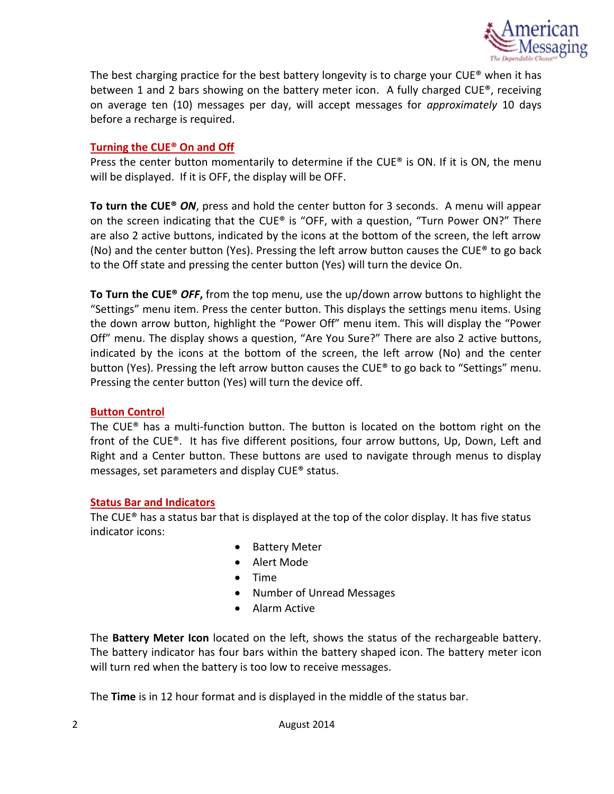

The best charging practice for the best battery longevity is to charge your CUE® when it has between 1 and 2 bars showing on the battery meter icon. A fully charged CUE®, receiving on average ten (10) messages per day, will accept messages for *approximately* 10 days before a recharge is required.

### **[Turning the CUE® On and Off](https://www.messagemanager.americanmessaging.net/beta/MyMessages.aspx)**

Press the center button momentarily to determine if the CUE® is ON. If it is ON, the menu will be displayed. If it is OFF, the display will be OFF.

**To turn the CUE®** *ON*, press and hold the center button for 3 seconds. A menu will appear on the screen indicating that the CUE® is "OFF, with a question, "Turn Power ON?" There are also 2 active buttons, indicated by the icons at the bottom of the screen, the left arrow (No) and the center button (Yes). Pressing the left arrow button causes the CUE® to go back to the Off state and pressing the center button (Yes) will turn the device On.

**To Turn the CUE®** *OFF***,** from the top menu, use the up/down arrow buttons to highlight the "Settings" menu item. Press the center button. This displays the settings menu items. Using the down arrow button, highlight the "Power Off" menu item. This will display the "Power Off" menu. The display shows a question, "Are You Sure?" There are also 2 active buttons, indicated by the icons at the bottom of the screen, the left arrow (No) and the center button (Yes). Pressing the left arrow button causes the CUE® to go back to "Settings" menu. Pressing the center button (Yes) will turn the device off.

#### **[Button Control](https://www.messagemanager.americanmessaging.net/beta/MyMessages.aspx)**

The CUE® has a multi-function button. The button is located on the bottom right on the front of the CUE®. It has five different positions, four arrow buttons, Up, Down, Left and Right and a Center button. These buttons are used to navigate through menus to display messages, set parameters and display CUE® status.

#### **[Status Bar and Indicators](https://www.messagemanager.americanmessaging.net/beta/MyMessages.aspx)**

The CUE® has a status bar that is displayed at the top of the color display. It has five status indicator icons:

- Battery Meter
- Alert Mode
- Time
- Number of Unread Messages
- Alarm Active

The **Battery Meter Icon** located on the left, shows the status of the rechargeable battery. The battery indicator has four bars within the battery shaped icon. The battery meter icon will turn red when the battery is too low to receive messages.

The **Time** is in 12 hour format and is displayed in the middle of the status bar.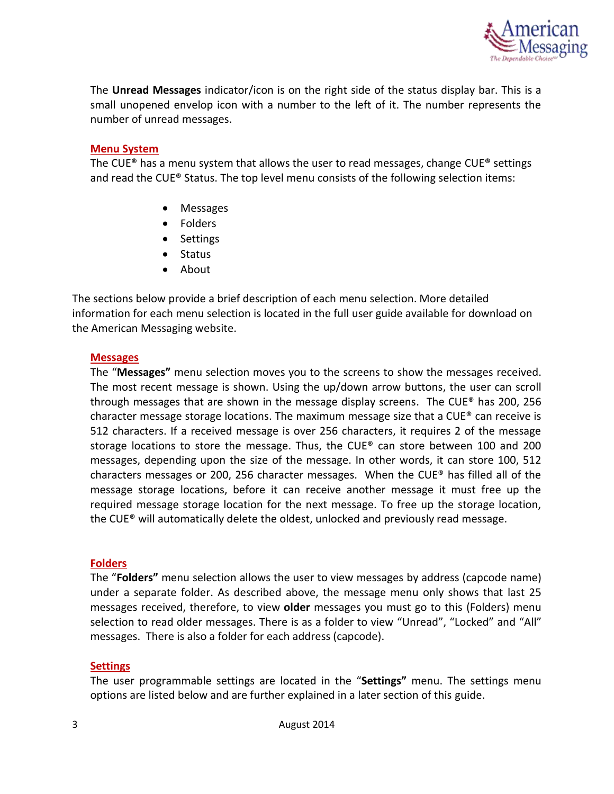

The **Unread Messages** indicator/icon is on the right side of the status display bar. This is a small unopened envelop icon with a number to the left of it. The number represents the number of unread messages.

#### **[Menu System](https://www.messagemanager.americanmessaging.net/beta/MyMessages.aspx)**

The CUE® has a menu system that allows the user to read messages, change CUE® settings and read the CUE® Status. The top level menu consists of the following selection items:

- Messages
- Folders
- Settings
- Status
- About

The sections below provide a brief description of each menu selection. More detailed information for each menu selection is located in the full user guide available for download on the American Messaging website.

#### **Messages**

The "**Messages"** menu selection moves you to the screens to show the messages received. The most recent message is shown. Using the up/down arrow buttons, the user can scroll through messages that are shown in the message display screens. The CUE<sup>®</sup> has 200, 256 character message storage locations. The maximum message size that a CUE® can receive is 512 characters. If a received message is over 256 characters, it requires 2 of the message storage locations to store the message. Thus, the CUE® can store between 100 and 200 messages, depending upon the size of the message. In other words, it can store 100, 512 characters messages or 200, 256 character messages. When the  $CUE^{\circ}$  has filled all of the message storage locations, before it can receive another message it must free up the required message storage location for the next message. To free up the storage location, the CUE® will automatically delete the oldest, unlocked and previously read message.

#### **Folders**

The "**Folders"** menu selection allows the user to view messages by address (capcode name) under a separate folder. As described above, the message menu only shows that last 25 messages received, therefore, to view **older** messages you must go to this (Folders) menu selection to read older messages. There is as a folder to view "Unread", "Locked" and "All" messages. There is also a folder for each address (capcode).

#### **Settings**

The user programmable settings are located in the "**Settings"** menu. The settings menu options are listed below and are further explained in a later section of this guide.